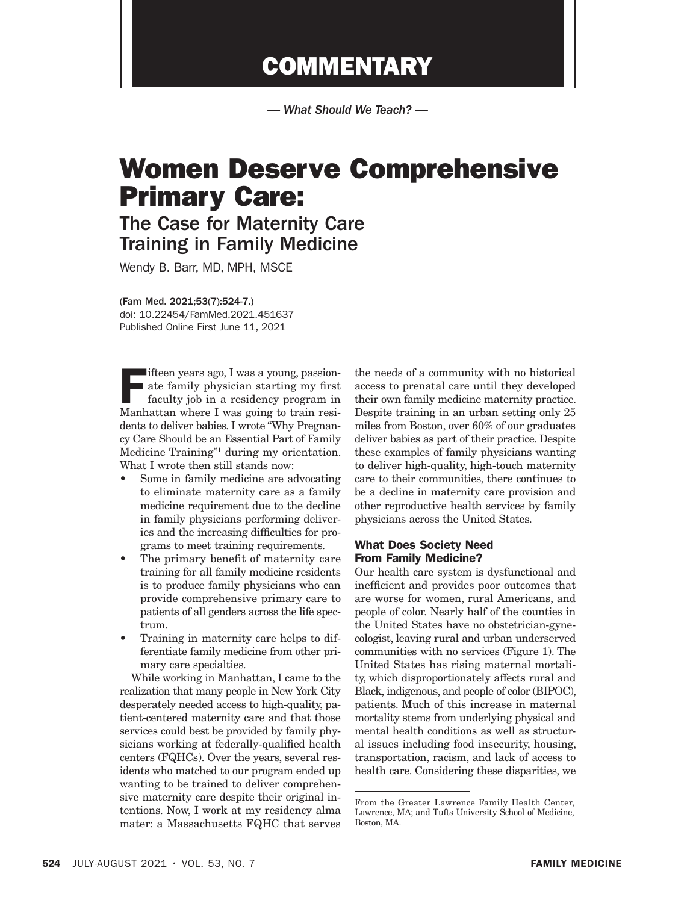# **COMMENTARY**

*— What Should We Teach? —*

# Women Deserve Comprehensive Primary Care:

# The Case for Maternity Care Training in Family Medicine

Wendy B. Barr, MD, MPH, MSCE

(Fam Med. 2021;53(7):524-7.) doi: 10.22454/FamMed.2021.451637 Published Online First June 11, 2021

Fifteen years ago, I was a young, passion-<br>ate family physician starting my first<br>faculty job in a residency program in<br>Manhattan where I was going to train resi ate family physician starting my first Manhattan where I was going to train residents to deliver babies. I wrote "Why Pregnancy Care Should be an Essential Part of Family Medicine Training"<sup>1</sup> during my orientation. What I wrote then still stands now:

- Some in family medicine are advocating to eliminate maternity care as a family medicine requirement due to the decline in family physicians performing deliveries and the increasing difficulties for programs to meet training requirements.
- The primary benefit of maternity care training for all family medicine residents is to produce family physicians who can provide comprehensive primary care to patients of all genders across the life spectrum.
- Training in maternity care helps to differentiate family medicine from other primary care specialties.

While working in Manhattan, I came to the realization that many people in New York City desperately needed access to high-quality, patient-centered maternity care and that those services could best be provided by family physicians working at federally-qualified health centers (FQHCs). Over the years, several residents who matched to our program ended up wanting to be trained to deliver comprehensive maternity care despite their original intentions. Now, I work at my residency alma mater: a Massachusetts FQHC that serves

the needs of a community with no historical access to prenatal care until they developed their own family medicine maternity practice. Despite training in an urban setting only 25 miles from Boston, over 60% of our graduates deliver babies as part of their practice. Despite these examples of family physicians wanting to deliver high-quality, high-touch maternity care to their communities, there continues to be a decline in maternity care provision and other reproductive health services by family physicians across the United States.

## What Does Society Need From Family Medicine?

Our health care system is dysfunctional and inefficient and provides poor outcomes that are worse for women, rural Americans, and people of color. Nearly half of the counties in the United States have no obstetrician-gynecologist, leaving rural and urban underserved communities with no services (Figure 1). The United States has rising maternal mortality, which disproportionately affects rural and Black, indigenous, and people of color (BIPOC), patients. Much of this increase in maternal mortality stems from underlying physical and mental health conditions as well as structural issues including food insecurity, housing, transportation, racism, and lack of access to health care. Considering these disparities, we

From the Greater Lawrence Family Health Center, Lawrence, MA; and Tufts University School of Medicine, Boston, MA.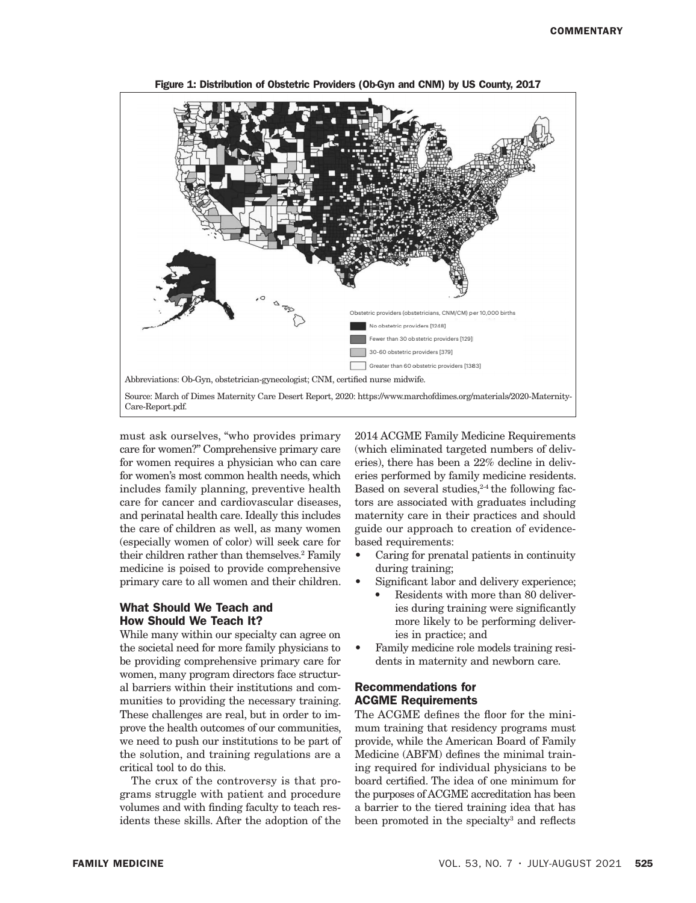

**Figure 1: Distribution of Obstetric Providers (Ob-Gyn and CNM) by US County, 2017** Figure 1: Distribution of Obstetric Providers (Ob-Gyn and CNM) by US County, 2017

must ask ourselves, "who provides primary 2014 ACGME Family. care for women?" Comprehensive primary care for women requires a physician who can care for women's most common health needs, which includes family planning, preventive health care for cancer and cardiovascular diseases, and perinatal health care. Ideally this includes the care of children as well, as many women (especially women of color) will seek care for their children rather than themselves.<sup>2</sup> Family medicine is poised to provide comprehensive primary care to all women and their children.

## What Should We Teach and How Should We Teach It?

While many within our specialty can agree on the societal need for more family physicians to be providing comprehensive primary care for women, many program directors face structural barriers within their institutions and communities to providing the necessary training. These challenges are real, but in order to improve the health outcomes of our communities, we need to push our institutions to be part of the solution, and training regulations are a critical tool to do this.

The crux of the controversy is that programs struggle with patient and procedure volumes and with finding faculty to teach residents these skills. After the adoption of the 2014 ACGME Family Medicine Requirements (which eliminated targeted numbers of deliveries), there has been a 22% decline in deliveries performed by family medicine residents. Based on several studies, $2-4$  the following factors are associated with graduates including maternity care in their practices and should guide our approach to creation of evidencebased requirements:

- Caring for prenatal patients in continuity during training;
- Significant labor and delivery experience;
	- Residents with more than 80 deliveries during training were significantly more likely to be performing deliveries in practice; and
- Family medicine role models training residents in maternity and newborn care.

### Recommendations for ACGME Requirements

The ACGME defines the floor for the minimum training that residency programs must provide, while the American Board of Family Medicine (ABFM) defines the minimal training required for individual physicians to be board certified. The idea of one minimum for the purposes of ACGME accreditation has been a barrier to the tiered training idea that has been promoted in the specialty<sup>3</sup> and reflects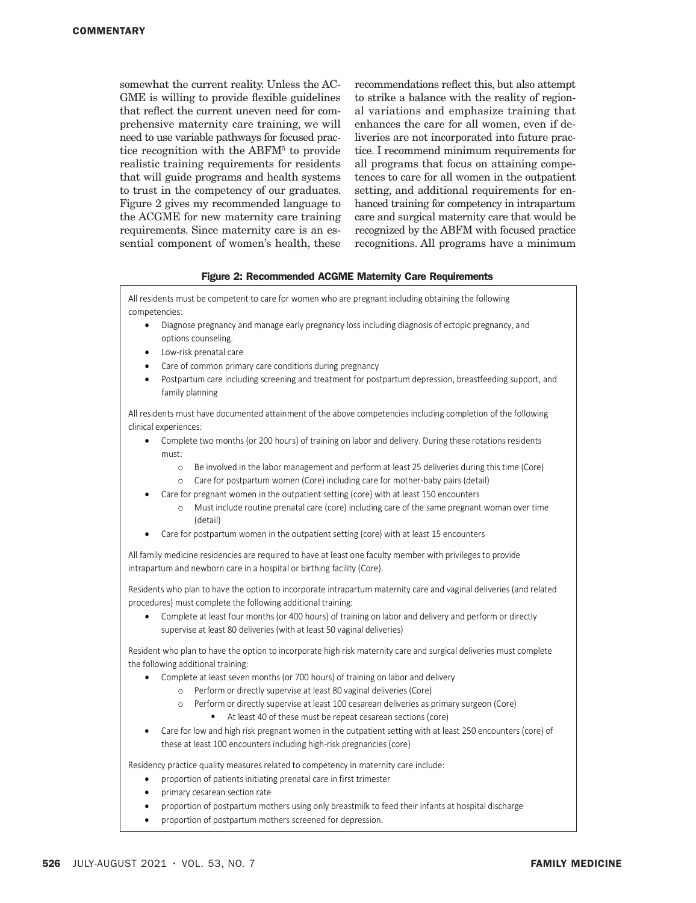somewhat the current reality. Unless the AC-GME is willing to provide flexible guidelines that reflect the current uneven need for comprehensive maternity care training, we will need to use variable pathways for focused practice recognition with the ABFM<sup>5</sup> to provide realistic training requirements for residents that will guide programs and health systems to trust in the competency of our graduates. Figure 2 gives my recommended language to the ACGME for new maternity care training requirements. Since maternity care is an essential component of women's health, these

recommendations reflect this, but also attempt to strike a balance with the reality of regional variations and emphasize training that enhances the care for all women, even if deliveries are not incorporated into future practice. I recommend minimum requirements for all programs that focus on attaining competences to care for all women in the outpatient setting, and additional requirements for enhanced training for competency in intrapartum care and surgical maternity care that would be recognized by the ABFM with focused practice recognitions. All programs have a minimum

#### Figure 2: Recommended ACGME Maternity Care Requirements

All residents must be competent to care for women who are pregnant including obtaining the following competencies:

- Diagnose pregnancy and manage early pregnancy loss including diagnosis of ectopic pregnancy, and options counseling.
- Low-risk prenatal care
- Care of common primary care conditions during pregnancy
- Postpartum care including screening and treatment for postpartum depression, breastfeeding support, and family planning

All residents must have documented attainment of the above competencies including completion of the following clinical experiences:

- Complete two months (or 200 hours) of training on labor and delivery. During these rotations residents must:
	- o Be involved in the labor management and perform at least 25 deliveries during this time (Core)
	- o Care for postpartum women (Core) including care for mother-baby pairs (detail)
- Care for pregnant women in the outpatient setting (core) with at least 150 encounters
	- o Must include routine prenatal care (core) including care of the same pregnant woman over time (detail)
- Care for postpartum women in the outpatient setting (core) with at least 15 encounters

All family medicine residencies are required to have at least one faculty member with privileges to provide intrapartum and newborn care in a hospital or birthing facility (Core).

Residents who plan to have the option to incorporate intrapartum maternity care and vaginal deliveries (and related procedures) must complete the following additional training:

• Complete at least four months (or 400 hours) of training on labor and delivery and perform or directly supervise at least 80 deliveries (with at least 50 vaginal deliveries)

Resident who plan to have the option to incorporate high risk maternity care and surgical deliveries must complete the following additional training:

- Complete at least seven months (or 700 hours) of training on labor and delivery
	- o Perform or directly supervise at least 80 vaginal deliveries (Core)
	- o Perform or directly supervise at least 100 cesarean deliveries as primary surgeon (Core)
		- At least 40 of these must be repeat cesarean sections (core)
- Care for low and high risk pregnant women in the outpatient setting with at least 250 encounters (core) of these at least 100 encounters including high-risk pregnancies (core)

Residency practice quality measures related to competency in maternity care include:

- proportion of patients initiating prenatal care in first trimester
- primary cesarean section rate
- proportion of postpartum mothers using only breastmilk to feed their infants at hospital discharge
- proportion of postpartum mothers screened for depression.